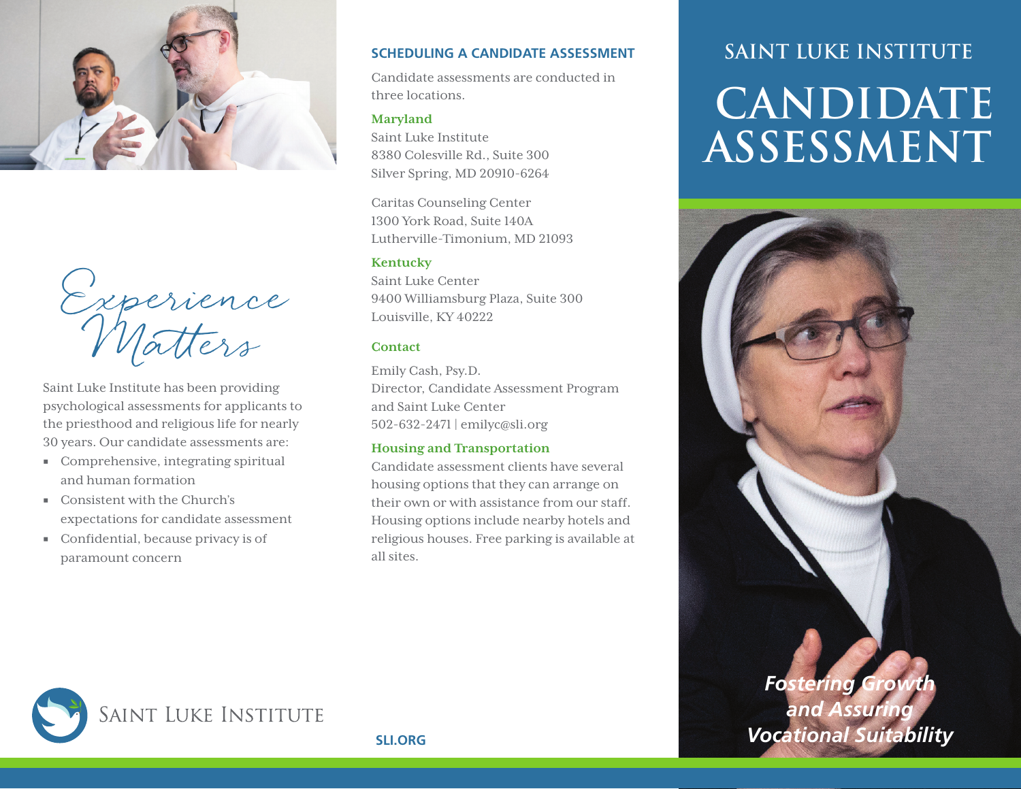



Saint Luke Institute has been providing psychological assessments for applicants to the priesthood and religious life for nearly 30 years. Our candidate assessments are:

- Comprehensive, integrating spiritual and human formation
- Consistent with the Church's expectations for candidate assessment
- Confidential, because privacy is of paramount concern

### **SCHEDULING A CANDIDATE ASSESSMENT**

Candidate assessments are conducted in three locations.

### **Maryland**

Saint Luke Institute 8380 Colesville Rd., Suite 300 Silver Spring, MD 20910-6264

Caritas Counseling Center 1300 York Road, Suite 140A Lutherville-Timonium, MD 21093

#### **Kentucky**

Saint Luke Center 9400 Williamsburg Plaza, Suite 300 Louisville, KY 40222

### **Contact**

Emily Cash, Psy.D. Director, Candidate Assessment Program and Saint Luke Center 502-632-2471 | emilyc@sli.org

### **Housing and Transportation**

Candidate assessment clients have several housing options that they can arrange on their own or with assistance from our staff. Housing options include nearby hotels and religious houses. Free parking is available at all sites.

# **SAINT LUKE INSTITUTE CANDIDATE ASSESSMENT**